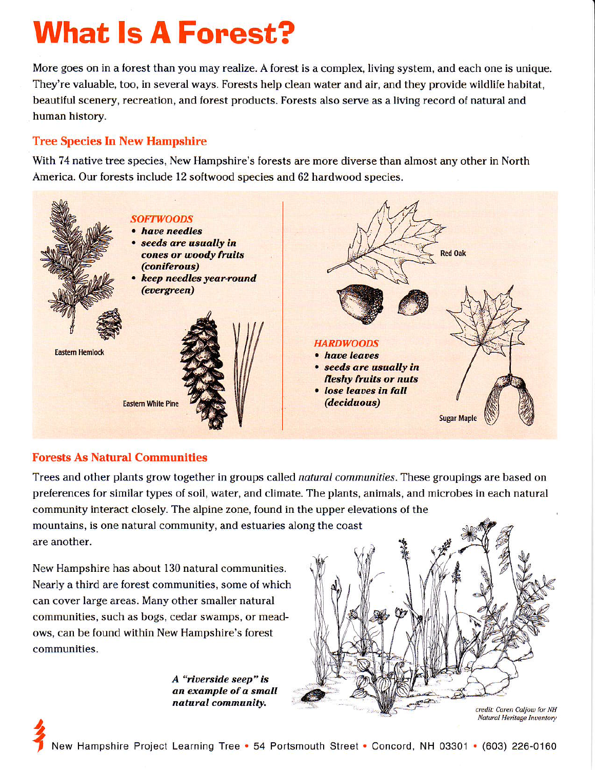# **What Is A Forest?**

More goes on in a forest than you may realize. A forest is a complex, living system, and each one is unique. They're valuable, too, in several ways. Forests help clean water and air, and they provide wildlife habitat, beautiful scenery, recreation, and forest products. Forests also serve as a living record of natural and human history.

### **Tree Species In New Hampshire**

With 74 native tree species, New Hampshire's forests are more diverse than almost any other in North America. Our forests include 12 softwood species and 62 hardwood species.



## **Forests As Natural Communities**

Trees and other plants grow together in groups called natural communities. These groupings are based on preferences for similar types of soil, water, and climate. The plants, animals, and microbes in each natural community interact closely. The alpine zone, found in the upper elevations of the mountains, is one natural community, and estuaries along the coast are another.

New Hampshire has about 130 natural communities. Nearly a third are forest communities, some of which can cover large areas. Many other smaller natural communities, such as bogs, cedar swamps, or meadows, can be found within New Hampshire's forest communities.

> A "riverside seep" is an example of a small natural community.